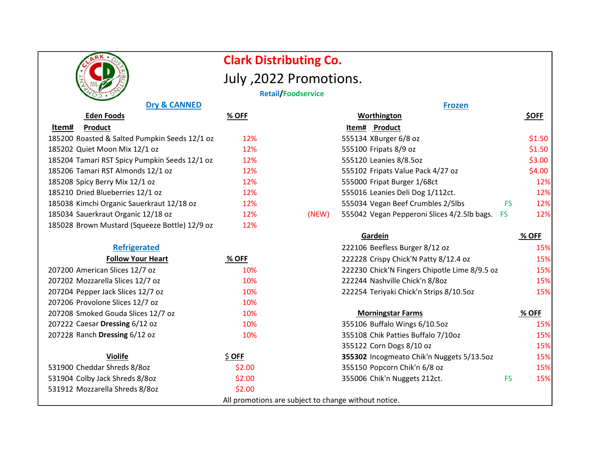|                                               |               | <b>Clark Distributing Co.</b>                        |                                                      |         |
|-----------------------------------------------|---------------|------------------------------------------------------|------------------------------------------------------|---------|
|                                               |               | July , 2022 Promotions.                              |                                                      |         |
|                                               |               | <b>Retail/Foodservice</b>                            |                                                      |         |
| <b>Dry &amp; CANNED</b>                       | <b>Frozen</b> |                                                      |                                                      |         |
| <b>Eden Foods</b>                             | $%$ OFF       | Worthington                                          | <b>\$OFF</b>                                         |         |
| Product<br>Item#                              |               | Item# Product                                        |                                                      |         |
| 185200 Roasted & Salted Pumpkin Seeds 12/1 oz | 12%           | 555134 XBurger 6/8 oz                                |                                                      | \$1.50  |
| 185202 Quiet Moon Mix 12/1 oz                 | 12%           | 555100 Fripats 8/9 oz                                |                                                      | \$1.50  |
| 185204 Tamari RST Spicy Pumpkin Seeds 12/1 oz | 12%           | 555120 Leanies 8/8.5oz                               |                                                      | \$3.00  |
| 185206 Tamari RST Almonds 12/1 oz             | 12%           | 555102 Fripats Value Pack 4/27 oz<br>\$4.00          |                                                      |         |
| 185208 Spicy Berry Mix 12/1 oz                | 12%           | 555000 Fripat Burger 1/68ct                          |                                                      | 12%     |
| 185210 Dried Blueberries 12/1 oz              | 12%           | 555016 Leanies Deli Dog 1/112ct.                     |                                                      | 12%     |
| 185038 Kimchi Organic Sauerkraut 12/18 oz     | 12%           | 555034 Vegan Beef Crumbles 2/5lbs                    | <b>FS</b>                                            | 12%     |
| 185034 Sauerkraut Organic 12/18 oz            | 12%           | 555042 Vegan Pepperoni Slices 4/2.5lb bags.<br>(NEW) | <b>FS</b>                                            | 12%     |
| 185028 Brown Mustard (Squeeze Bottle) 12/9 oz | 12%           |                                                      |                                                      |         |
|                                               |               | Gardein                                              |                                                      | % OFF   |
| <b>Refrigerated</b>                           |               | 222106 Beefless Burger 8/12 oz                       |                                                      | 15%     |
| <b>Follow Your Heart</b>                      | % OFF         |                                                      | 222228 Crispy Chick'N Patty 8/12.4 oz<br>15%         |         |
| 207200 American Slices 12/7 oz                | 10%           |                                                      | 222230 Chick'N Fingers Chipotle Lime 8/9.5 oz<br>15% |         |
| 207202 Mozzarella Slices 12/7 oz              | 10%           | 222244 Nashville Chick'n 8/80z                       | 15%                                                  |         |
| 207204 Pepper Jack Slices 12/7 oz             | 10%           | 222254 Teriyaki Chick'n Strips 8/10.5oz              |                                                      | 15%     |
| 207206 Provolone Slices 12/7 oz               | 10%           |                                                      |                                                      |         |
| 207208 Smoked Gouda Slices 12/7 oz            | 10%           | <b>Morningstar Farms</b>                             |                                                      | $%$ OFF |
| 207222 Caesar Dressing 6/12 oz                | 10%           | 355106 Buffalo Wings 6/10.5oz                        |                                                      | 15%     |
| 207228 Ranch Dressing 6/12 oz                 | 10%           | 355108 Chik Patties Buffalo 7/10oz                   |                                                      | 15%     |
|                                               |               | 355122 Corn Dogs 8/10 oz                             |                                                      | 15%     |
| <b>Violife</b>                                | $$$ OFF       |                                                      | 355302 Incogmeato Chik'n Nuggets 5/13.5oz<br>15%     |         |
| 531900 Cheddar Shreds 8/80z                   | \$2.00        | 355150 Popcorn Chik'n 6/8 oz                         |                                                      | 15%     |
| 531904 Colby Jack Shreds 8/80z                | \$2.00        | 355006 Chik'n Nuggets 212ct.                         | <b>FS</b>                                            | 15%     |
| 531912 Mozzarella Shreds 8/80z                | \$2.00        |                                                      |                                                      |         |
|                                               |               | All promotions are subject to change without notice. |                                                      |         |